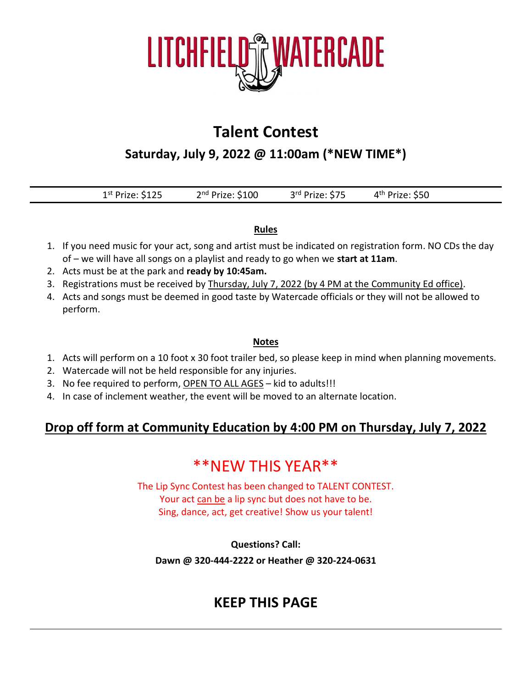

## **Talent Contest**

**Saturday, July 9, 2022 @ 11:00am (\*NEW TIME\*)**

| $1st$ Prize: \$125 | $2nd$ Prize: \$100 | 3rd Prize: \$75 | 4 <sup>th</sup> Prize: \$50 |  |
|--------------------|--------------------|-----------------|-----------------------------|--|
|                    |                    |                 |                             |  |

### **Rules**

- 1. If you need music for your act, song and artist must be indicated on registration form. NO CDs the day of – we will have all songs on a playlist and ready to go when we **start at 11am**.
- 2. Acts must be at the park and **ready by 10:45am.**
- 3. Registrations must be received by Thursday, July 7, 2022 (by 4 PM at the Community Ed office).
- 4. Acts and songs must be deemed in good taste by Watercade officials or they will not be allowed to perform.

### **Notes**

- 1. Acts will perform on a 10 foot x 30 foot trailer bed, so please keep in mind when planning movements.
- 2. Watercade will not be held responsible for any injuries.
- 3. No fee required to perform, OPEN TO ALL AGES kid to adults!!!
- 4. In case of inclement weather, the event will be moved to an alternate location.

### **Drop off form at Community Education by 4:00 PM on Thursday, July 7, 2022**

## \*\*NEW THIS YEAR\*\*

The Lip Sync Contest has been changed to TALENT CONTEST. Your act can be a lip sync but does not have to be. Sing, dance, act, get creative! Show us your talent!

**Questions? Call:**

**Dawn @ 320-444-2222 or Heather @ 320-224-0631**

### **KEEP THIS PAGE**